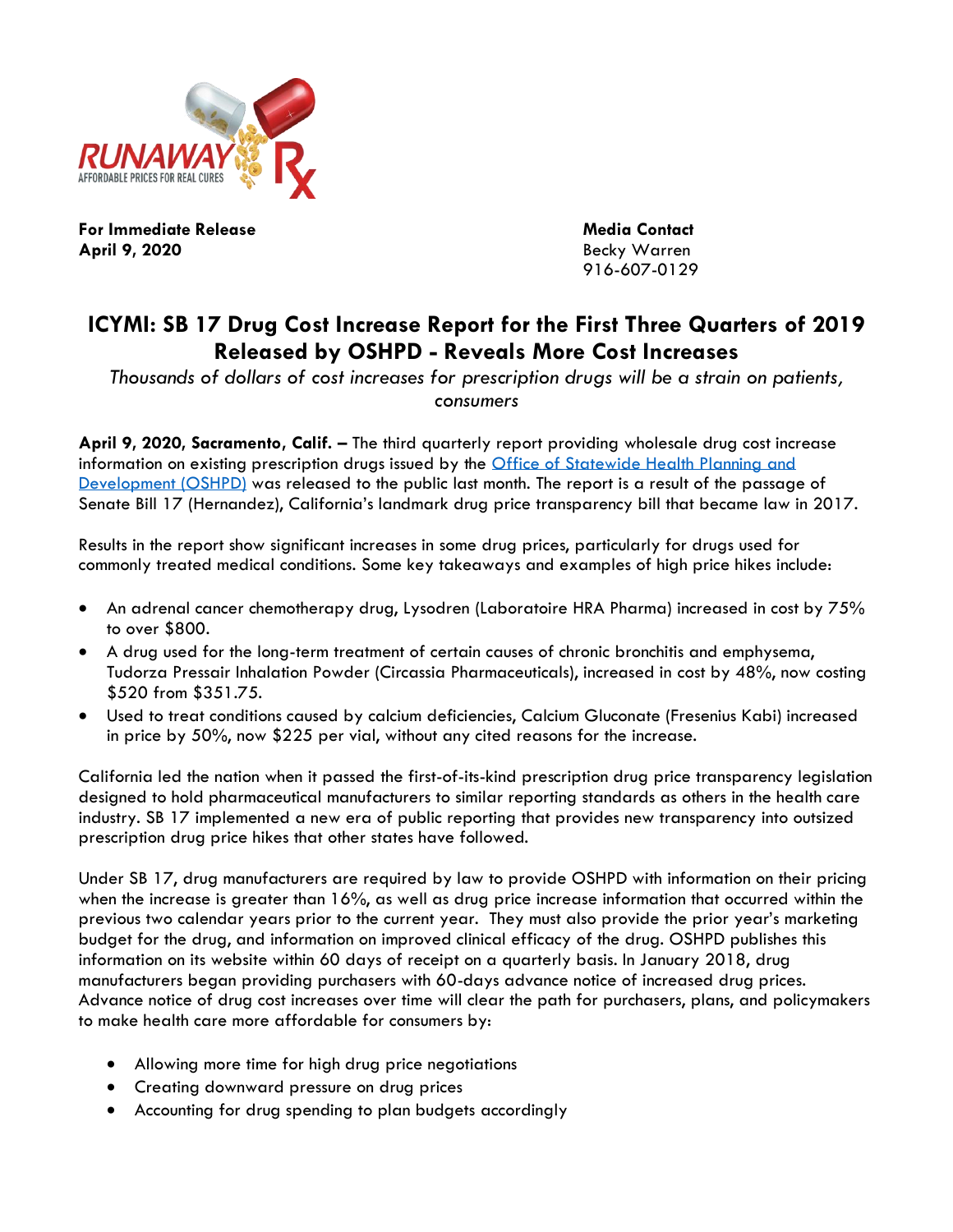

**For Immediate Release Contact Contact Contact April 9, 2020** Becky Warren

916-607-0129

## **ICYMI: SB 17 Drug Cost Increase Report for the First Three Quarters of 2019 Released by OSHPD - Reveals More Cost Increases**

*Thousands of dollars of cost increases for prescription drugs will be a strain on patients, consumers*

**April 9, 2020, Sacramento, Calif. –** The third quarterly report providing wholesale drug cost increase information on existing prescription drugs issued by the [Office of Statewide Health Planning and](https://data.chhs.ca.gov/dataset/prescription-drug-wholesale-acquisition-cost-wac-increases)  [Development \(OSHPD\)](https://data.chhs.ca.gov/dataset/prescription-drug-wholesale-acquisition-cost-wac-increases) was released to the public last month. The report is a result of the passage of Senate Bill 17 (Hernandez), California's landmark drug price transparency bill that became law in 2017.

Results in the report show significant increases in some drug prices, particularly for drugs used for commonly treated medical conditions. Some key takeaways and examples of high price hikes include:

- An adrenal cancer chemotherapy drug, Lysodren (Laboratoire HRA Pharma) increased in cost by 75% to over \$800.
- A drug used for the long-term treatment of certain causes of chronic bronchitis and emphysema, Tudorza Pressair Inhalation Powder (Circassia Pharmaceuticals), increased in cost by 48%, now costing \$520 from \$351.75.
- Used to treat conditions caused by calcium deficiencies, Calcium Gluconate (Fresenius Kabi) increased in price by 50%, now \$225 per vial, without any cited reasons for the increase.

California led the nation when it passed the first-of-its-kind prescription drug price transparency legislation designed to hold pharmaceutical manufacturers to similar reporting standards as others in the health care industry. SB 17 implemented a new era of public reporting that provides new transparency into outsized prescription drug price hikes that other states have followed.

Under SB 17, drug manufacturers are required by law to provide OSHPD with information on their pricing when the increase is greater than 16%, as well as drug price increase information that occurred within the previous two calendar years prior to the current year. They must also provide the prior year's marketing budget for the drug, and information on improved clinical efficacy of the drug. OSHPD publishes this information on its website within 60 days of receipt on a quarterly basis. In January 2018, drug manufacturers began providing purchasers with 60-days advance notice of increased drug prices. Advance notice of drug cost increases over time will clear the path for purchasers, plans, and policymakers to make health care more affordable for consumers by:

- Allowing more time for high drug price negotiations
- Creating downward pressure on drug prices
- Accounting for drug spending to plan budgets accordingly